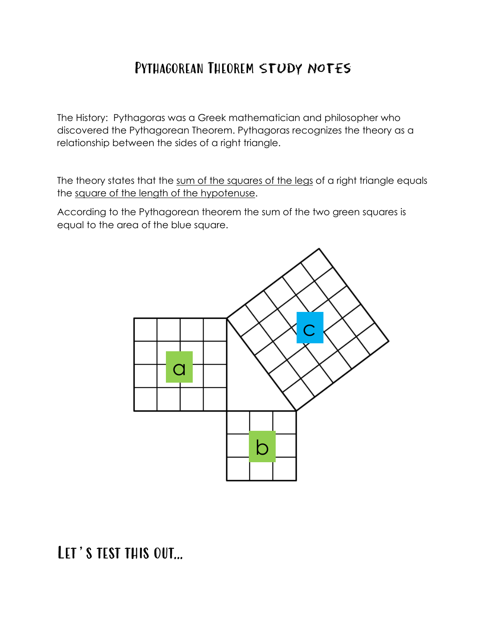## Pythagorean Theorem Study Notes

The History: Pythagoras was a Greek mathematician and philosopher who discovered the Pythagorean Theorem. Pythagoras recognizes the theory as a relationship between the sides of a right triangle.

The theory states that the sum of the squares of the legs of a right triangle equals the square of the length of the hypotenuse.

According to the Pythagorean theorem the sum of the two green squares is equal to the area of the blue square.



## Let's test this out…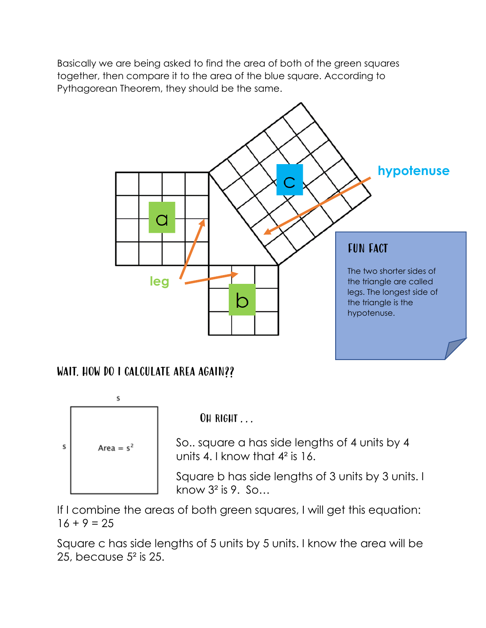Basically we are being asked to find the area of both of the green squares together, then compare it to the area of the blue square. According to Pythagorean Theorem, they should be the same.



#### WAIT. HOW DO I CALCULATE AREA AGAIN??



OH RIGHT . . .

So.. square a has side lengths of 4 units by 4 units 4. I know that 4² is 16.

Square b has side lengths of 3 units by 3 units. I know  $3^2$  is 9. So...

If I combine the areas of both green squares, I will get this equation:  $16 + 9 = 25$ 

Square c has side lengths of 5 units by 5 units. I know the area will be 25, because 5² is 25.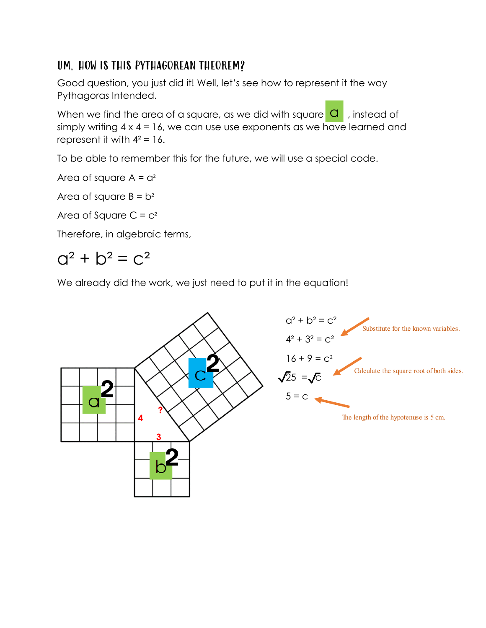#### UM, HOW IS THIS PYTHAGOREAN THEOREM?

Good question, you just did it! Well, let's see how to represent it the way Pythagoras Intended.

When we find the area of a square, as we did with square  $\overline{a}$ , instead of simply writing  $4 \times 4 = 16$ , we can use use exponents as we have learned and represent it with  $4^2 = 16$ .

To be able to remember this for the future, we will use a special code.

Area of square  $A = a^2$ 

Area of square  $B = b^2$ 

Area of Square  $C = c<sup>2</sup>$ 

Therefore, in algebraic terms,

## $Q^2 + D^2 = C^2$

We already did the work, we just need to put it in the equation!